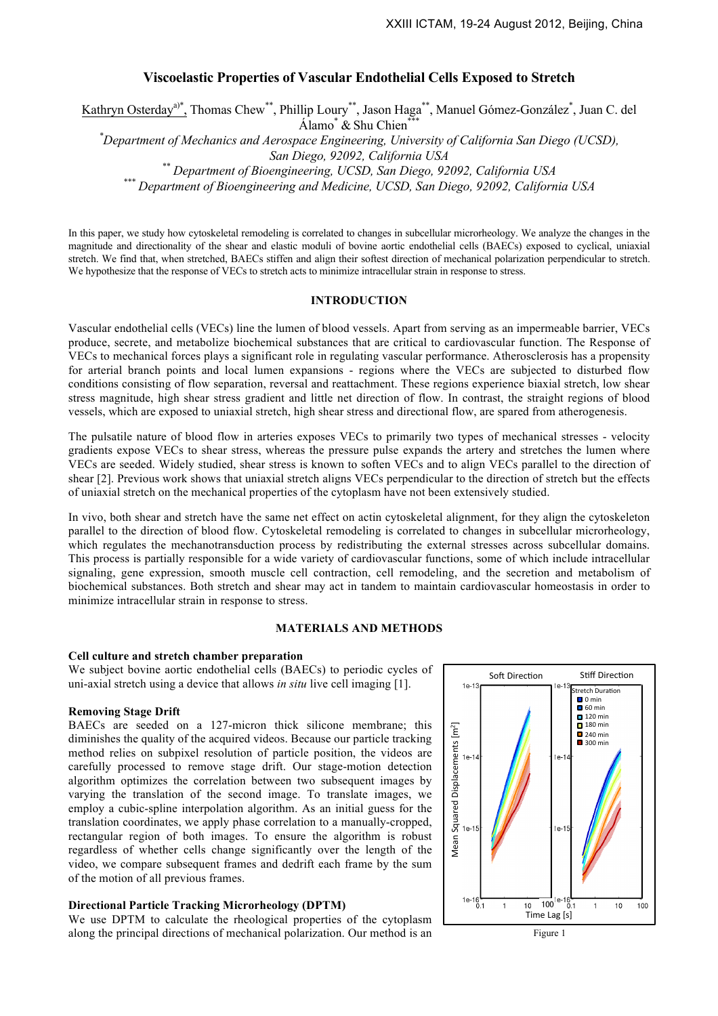# **Viscoelastic Properties of Vascular Endothelial Cells Exposed to Stretch**

Kathryn Osterday<sup>a)\*</sup>, Thomas Chew<sup>\*\*</sup>, Phillip Loury<sup>\*\*</sup>, Jason Haga<sup>\*\*</sup>, Manuel Gómez-González<sup>\*</sup>, Juan C. del Álamo $*$  & Shu Chien $*$ 

*\* Department of Mechanics and Aerospace Engineering, University of California San Diego (UCSD),*

San Diego, 92092, California USA<br>\*\* Department of Bioengineering, UCSD, San Diego, 92092, California USA<br>\*\*\* Department of Bioengineering and Medicine, UCSD, San Diego, 92092, California USA

In this paper, we study how cytoskeletal remodeling is correlated to changes in subcellular microrheology. We analyze the changes in the magnitude and directionality of the shear and elastic moduli of bovine aortic endothelial cells (BAECs) exposed to cyclical, uniaxial stretch. We find that, when stretched, BAECs stiffen and align their softest direction of mechanical polarization perpendicular to stretch. We hypothesize that the response of VECs to stretch acts to minimize intracellular strain in response to stress.

### **INTRODUCTION**

Vascular endothelial cells (VECs) line the lumen of blood vessels. Apart from serving as an impermeable barrier, VECs produce, secrete, and metabolize biochemical substances that are critical to cardiovascular function. The Response of VECs to mechanical forces plays a significant role in regulating vascular performance. Atherosclerosis has a propensity for arterial branch points and local lumen expansions - regions where the VECs are subjected to disturbed flow conditions consisting of flow separation, reversal and reattachment. These regions experience biaxial stretch, low shear stress magnitude, high shear stress gradient and little net direction of flow. In contrast, the straight regions of blood vessels, which are exposed to uniaxial stretch, high shear stress and directional flow, are spared from atherogenesis.

The pulsatile nature of blood flow in arteries exposes VECs to primarily two types of mechanical stresses - velocity gradients expose VECs to shear stress, whereas the pressure pulse expands the artery and stretches the lumen where VECs are seeded. Widely studied, shear stress is known to soften VECs and to align VECs parallel to the direction of shear [2]. Previous work shows that uniaxial stretch aligns VECs perpendicular to the direction of stretch but the effects of uniaxial stretch on the mechanical properties of the cytoplasm have not been extensively studied.

In vivo, both shear and stretch have the same net effect on actin cytoskeletal alignment, for they align the cytoskeleton parallel to the direction of blood flow. Cytoskeletal remodeling is correlated to changes in subcellular microrheology, which regulates the mechanotransduction process by redistributing the external stresses across subcellular domains. This process is partially responsible for a wide variety of cardiovascular functions, some of which include intracellular signaling, gene expression, smooth muscle cell contraction, cell remodeling, and the secretion and metabolism of biochemical substances. Both stretch and shear may act in tandem to maintain cardiovascular homeostasis in order to minimize intracellular strain in response to stress.

# **MATERIALS AND METHODS**

### **Cell culture and stretch chamber preparation**

We subject bovine aortic endothelial cells (BAECs) to periodic cycles of uni-axial stretch using a device that allows *in situ* live cell imaging [1].

## **Removing Stage Drift**

BAECs are seeded on a 127-micron thick silicone membrane; this diminishes the quality of the acquired videos. Because our particle tracking method relies on subpixel resolution of particle position, the videos are carefully processed to remove stage drift. Our stage-motion detection algorithm optimizes the correlation between two subsequent images by varying the translation of the second image. To translate images, we employ a cubic-spline interpolation algorithm. As an initial guess for the translation coordinates, we apply phase correlation to a manually-cropped, rectangular region of both images. To ensure the algorithm is robust regardless of whether cells change significantly over the length of the video, we compare subsequent frames and dedrift each frame by the sum of the motion of all previous frames.

## **Directional Particle Tracking Microrheology (DPTM)**

We use DPTM to calculate the rheological properties of the cytoplasm along the principal directions of mechanical polarization. Our method is an